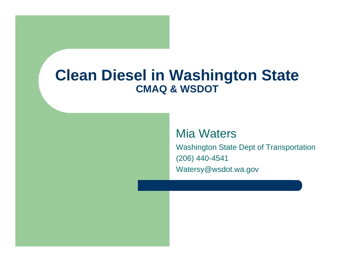#### **Clean Diesel in Washington State CMAQ & WSDOT**

#### Mia Waters

Washington State Dept of Transportation (206) 440-4541 Watersy@wsdot.wa.gov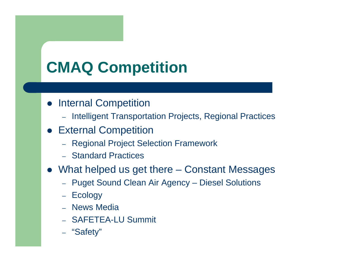# **CMAQ Competition**

- **Internal Competition** 
	- Intelligent Transportation Projects, Regional Practices
- **External Competition** 
	- Regional Project Selection Framework
	- Standard Practices
- What helped us get there Constant Messages
	- Puget Sound Clean Air Agency Diesel Solutions
	- Ecology
	- News Media
	- SAFETEA-LU Summit
	- "Safety"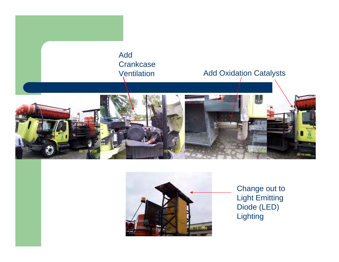



Change out to Light Emitting Diode (LED) **Lighting**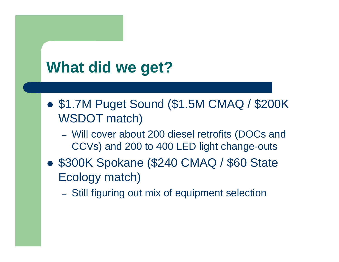## **What did we get?**

- \$1.7M Puget Sound (\$1.5M CMAQ / \$200K) WSDOT match)
	- $-$  Will cover about 200 diesel retrofits (DOCs and CCVs) and 200 to 400 LED light change-outs
- \$300K Spokane (\$240 CMAQ / \$60 State Ecology match)
	- Still figuring out mix of equipment selection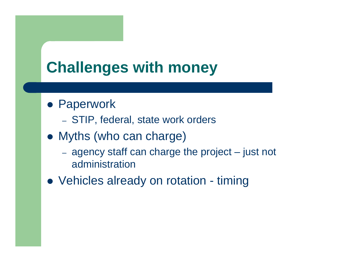## **Challenges with money**

- **Paperwork** 
	- STIP, federal, state work orders
- Myths (who can charge)
	- $$  agency staff can charge the project – just not administration
- Vehicles already on rotation timing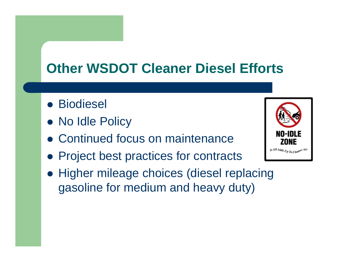#### **Other WSDOT Cleaner Diesel Efforts**

- **•** Biodiesel
- No Idle Policy
- Continued focus on maintenance
- Project best practices for contracts